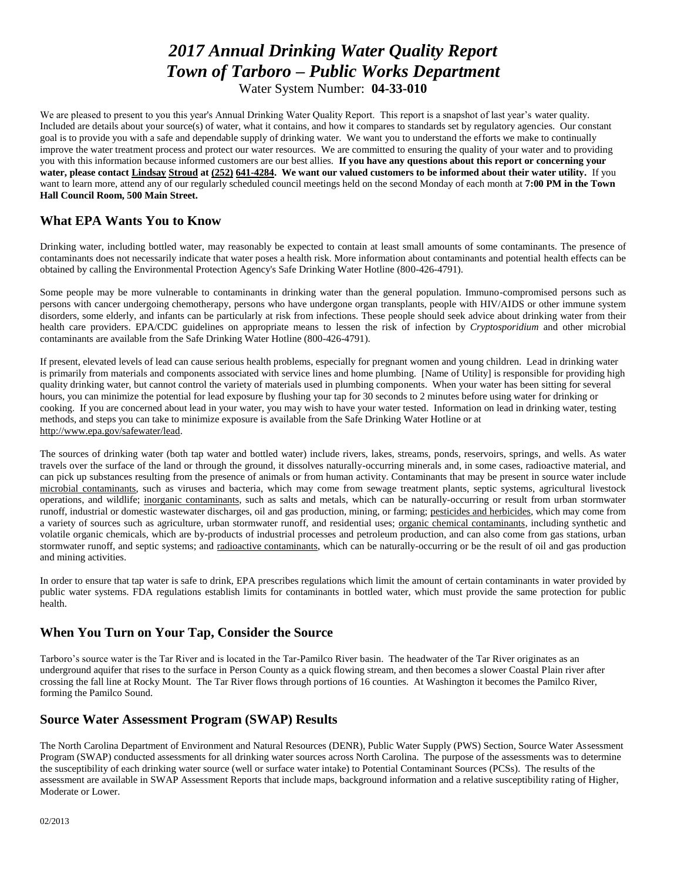# *2017 Annual Drinking Water Quality Report Town of Tarboro – Public Works Department*

Water System Number: **04-33-010**

We are pleased to present to you this year's Annual Drinking Water Quality Report. This report is a snapshot of last year's water quality. Included are details about your source(s) of water, what it contains, and how it compares to standards set by regulatory agencies. Our constant goal is to provide you with a safe and dependable supply of drinking water. We want you to understand the efforts we make to continually improve the water treatment process and protect our water resources. We are committed to ensuring the quality of your water and to providing you with this information because informed customers are our best allies. **If you have any questions about this report or concerning your water, please contact Lindsay Stroud at (252) 641-4284. We want our valued customers to be informed about their water utility.** If you want to learn more, attend any of our regularly scheduled council meetings held on the second Monday of each month at **7:00 PM in the Town Hall Council Room, 500 Main Street.**

# **What EPA Wants You to Know**

Drinking water, including bottled water, may reasonably be expected to contain at least small amounts of some contaminants. The presence of contaminants does not necessarily indicate that water poses a health risk. More information about contaminants and potential health effects can be obtained by calling the Environmental Protection Agency's Safe Drinking Water Hotline (800-426-4791).

Some people may be more vulnerable to contaminants in drinking water than the general population. Immuno-compromised persons such as persons with cancer undergoing chemotherapy, persons who have undergone organ transplants, people with HIV/AIDS or other immune system disorders, some elderly, and infants can be particularly at risk from infections. These people should seek advice about drinking water from their health care providers. EPA/CDC guidelines on appropriate means to lessen the risk of infection by *Cryptosporidium* and other microbial contaminants are available from the Safe Drinking Water Hotline (800-426-4791).

If present, elevated levels of lead can cause serious health problems, especially for pregnant women and young children. Lead in drinking water is primarily from materials and components associated with service lines and home plumbing. [Name of Utility] is responsible for providing high quality drinking water, but cannot control the variety of materials used in plumbing components. When your water has been sitting for several hours, you can minimize the potential for lead exposure by flushing your tap for 30 seconds to 2 minutes before using water for drinking or cooking. If you are concerned about lead in your water, you may wish to have your water tested. Information on lead in drinking water, testing methods, and steps you can take to minimize exposure is available from the Safe Drinking Water Hotline or at [http://www.epa.gov/safewater/lead.](http://www.epa.gov/safewater/lead)

The sources of drinking water (both tap water and bottled water) include rivers, lakes, streams, ponds, reservoirs, springs, and wells. As water travels over the surface of the land or through the ground, it dissolves naturally-occurring minerals and, in some cases, radioactive material, and can pick up substances resulting from the presence of animals or from human activity. Contaminants that may be present in source water include microbial contaminants, such as viruses and bacteria, which may come from sewage treatment plants, septic systems, agricultural livestock operations, and wildlife; inorganic contaminants, such as salts and metals, which can be naturally-occurring or result from urban stormwater runoff, industrial or domestic wastewater discharges, oil and gas production, mining, or farming; pesticides and herbicides, which may come from a variety of sources such as agriculture, urban stormwater runoff, and residential uses; organic chemical contaminants, including synthetic and volatile organic chemicals, which are by-products of industrial processes and petroleum production, and can also come from gas stations, urban stormwater runoff, and septic systems; and radioactive contaminants, which can be naturally-occurring or be the result of oil and gas production and mining activities.

In order to ensure that tap water is safe to drink, EPA prescribes regulations which limit the amount of certain contaminants in water provided by public water systems. FDA regulations establish limits for contaminants in bottled water, which must provide the same protection for public health.

# **When You Turn on Your Tap, Consider the Source**

Tarboro's source water is the Tar River and is located in the Tar-Pamilco River basin. The headwater of the Tar River originates as an underground aquifer that rises to the surface in Person County as a quick flowing stream, and then becomes a slower Coastal Plain river after crossing the fall line at Rocky Mount. The Tar River flows through portions of 16 counties. At Washington it becomes the Pamilco River, forming the Pamilco Sound.

# **Source Water Assessment Program (SWAP) Results**

The North Carolina Department of Environment and Natural Resources (DENR), Public Water Supply (PWS) Section, Source Water Assessment Program (SWAP) conducted assessments for all drinking water sources across North Carolina. The purpose of the assessments was to determine the susceptibility of each drinking water source (well or surface water intake) to Potential Contaminant Sources (PCSs). The results of the assessment are available in SWAP Assessment Reports that include maps, background information and a relative susceptibility rating of Higher, Moderate or Lower.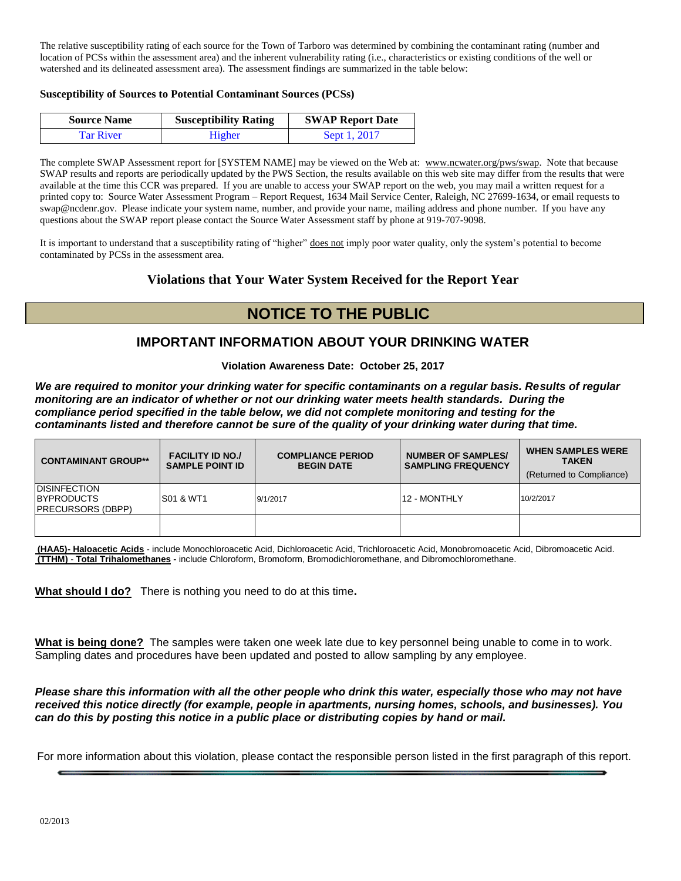The relative susceptibility rating of each source for the Town of Tarboro was determined by combining the contaminant rating (number and location of PCSs within the assessment area) and the inherent vulnerability rating (i.e., characteristics or existing conditions of the well or watershed and its delineated assessment area). The assessment findings are summarized in the table below:

#### **Susceptibility of Sources to Potential Contaminant Sources (PCSs)**

| <b>Source Name</b> | <b>Susceptibility Rating</b> | <b>SWAP Report Date</b> |
|--------------------|------------------------------|-------------------------|
| Tar River          | Higher                       | Sept 1, 2017            |

The complete SWAP Assessment report for [SYSTEM NAME] may be viewed on the Web at: [www.ncwater.org/pws/swap.](http://www.ncwater.org/pws/swap) Note that because SWAP results and reports are periodically updated by the PWS Section, the results available on this web site may differ from the results that were available at the time this CCR was prepared. If you are unable to access your SWAP report on the web, you may mail a written request for a printed copy to: Source Water Assessment Program – Report Request, 1634 Mail Service Center, Raleigh, NC 27699-1634, or email requests to swap@ncdenr.gov. Please indicate your system name, number, and provide your name, mailing address and phone number. If you have any questions about the SWAP report please contact the Source Water Assessment staff by phone at 919-707-9098.

It is important to understand that a susceptibility rating of "higher" does not imply poor water quality, only the system's potential to become contaminated by PCSs in the assessment area.

# **Violations that Your Water System Received for the Report Year**

# **NOTICE TO THE PUBLIC**

# **IMPORTANT INFORMATION ABOUT YOUR DRINKING WATER**

**Violation Awareness Date: October 25, 2017**

*We are required to monitor your drinking water for specific contaminants on a regular basis. Results of regular monitoring are an indicator of whether or not our drinking water meets health standards. During the compliance period specified in the table below, we did not complete monitoring and testing for the contaminants listed and therefore cannot be sure of the quality of your drinking water during that time.* 

| <b>CONTAMINANT GROUP**</b>                                              | <b>FACILITY ID NO./</b><br><b>SAMPLE POINT ID</b> | <b>COMPLIANCE PERIOD</b><br><b>BEGIN DATE</b> | <b>NUMBER OF SAMPLES/</b><br><b>SAMPLING FREQUENCY</b> | <b>WHEN SAMPLES WERE</b><br><b>TAKEN</b><br>(Returned to Compliance) |
|-------------------------------------------------------------------------|---------------------------------------------------|-----------------------------------------------|--------------------------------------------------------|----------------------------------------------------------------------|
| <b>IDISINFECTION</b><br><b>IBYPRODUCTS</b><br><b>IPRECURSORS (DBPP)</b> | IS01 & WT1                                        | 9/1/2017                                      | 12 - MONTHLY                                           | 10/2/2017                                                            |
|                                                                         |                                                   |                                               |                                                        |                                                                      |

**(HAA5)- Haloacetic Acids** - include Monochloroacetic Acid, Dichloroacetic Acid, Trichloroacetic Acid, Monobromoacetic Acid, Dibromoacetic Acid. **(TTHM)** - **Total Trihalomethanes -** include Chloroform, Bromoform, Bromodichloromethane, and Dibromochloromethane.

**What should I do?** There is nothing you need to do at this time**.**

**What is being done?** The samples were taken one week late due to key personnel being unable to come in to work. Sampling dates and procedures have been updated and posted to allow sampling by any employee.

*Please share this information with all the other people who drink this water, especially those who may not have received this notice directly (for example, people in apartments, nursing homes, schools, and businesses). You can do this by posting this notice in a public place or distributing copies by hand or mail.*

For more information about this violation, please contact the responsible person listed in the first paragraph of this report.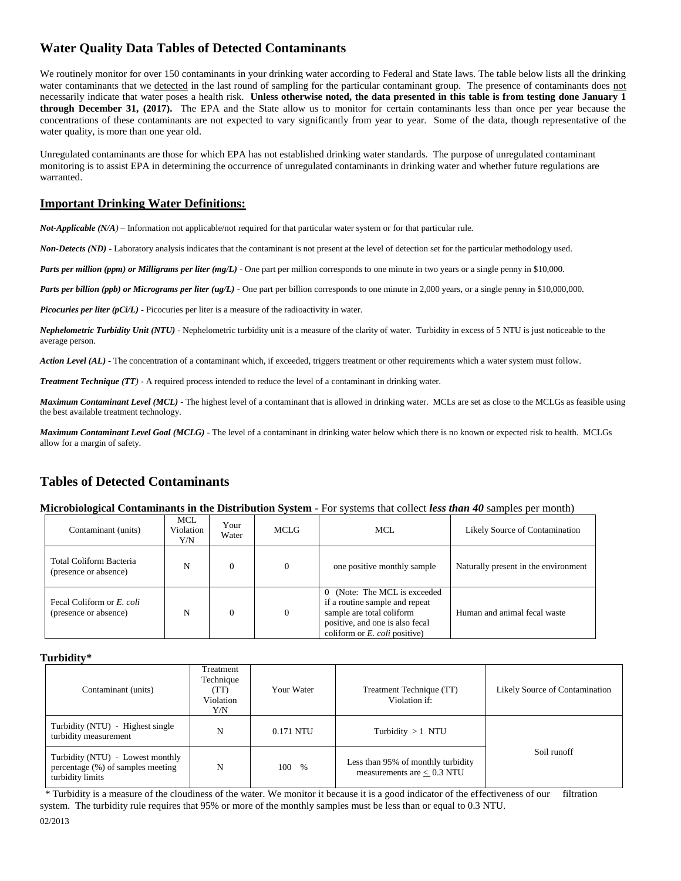# **Water Quality Data Tables of Detected Contaminants**

We routinely monitor for over 150 contaminants in your drinking water according to Federal and State laws. The table below lists all the drinking water contaminants that we detected in the last round of sampling for the particular contaminant group. The presence of contaminants does not necessarily indicate that water poses a health risk. **Unless otherwise noted, the data presented in this table is from testing done January 1 through December 31, (2017).** The EPA and the State allow us to monitor for certain contaminants less than once per year because the concentrations of these contaminants are not expected to vary significantly from year to year. Some of the data, though representative of the water quality, is more than one year old.

Unregulated contaminants are those for which EPA has not established drinking water standards. The purpose of unregulated contaminant monitoring is to assist EPA in determining the occurrence of unregulated contaminants in drinking water and whether future regulations are warranted.

### **Important Drinking Water Definitions:**

*Not-Applicable (N/A)* – Information not applicable/not required for that particular water system or for that particular rule.

*Non-Detects (ND)* - Laboratory analysis indicates that the contaminant is not present at the level of detection set for the particular methodology used.

*Parts per million (ppm) or Milligrams per liter (mg/L)* - One part per million corresponds to one minute in two years or a single penny in \$10,000.

*Parts per billion (ppb) or Micrograms per liter (ug/L)* - One part per billion corresponds to one minute in 2,000 years, or a single penny in \$10,000,000.

*Picocuries per liter (pCi/L)* - Picocuries per liter is a measure of the radioactivity in water.

*Nephelometric Turbidity Unit (NTU)* - Nephelometric turbidity unit is a measure of the clarity of water. Turbidity in excess of 5 NTU is just noticeable to the average person.

*Action Level (AL) -* The concentration of a contaminant which, if exceeded, triggers treatment or other requirements which a water system must follow.

*Treatment Technique (TT)* **-** A required process intended to reduce the level of a contaminant in drinking water.

*Maximum Contaminant Level (MCL)* - The highest level of a contaminant that is allowed in drinking water. MCLs are set as close to the MCLGs as feasible using the best available treatment technology.

*Maximum Contaminant Level Goal (MCLG)* - The level of a contaminant in drinking water below which there is no known or expected risk to health. MCLGs allow for a margin of safety.

# **Tables of Detected Contaminants**

#### **Microbiological Contaminants in the Distribution System -** For systems that collect *less than 40* samples per month)

| Contaminant (units)                                | <b>MCL</b><br>Violation<br>Y/N | Your<br>Water | MCLG | MCL.                                                                                                                                                                                 | Likely Source of Contamination       |
|----------------------------------------------------|--------------------------------|---------------|------|--------------------------------------------------------------------------------------------------------------------------------------------------------------------------------------|--------------------------------------|
| Total Coliform Bacteria<br>(presence or absence)   | N                              | $\theta$      |      | one positive monthly sample                                                                                                                                                          | Naturally present in the environment |
| Fecal Coliform or E. coli<br>(presence or absence) | N                              | $\theta$      |      | (Note: The MCL is exceeded)<br>$\Omega$<br>if a routine sample and repeat<br>sample are total coliform<br>positive, and one is also fecal<br>coliform or $E$ . <i>coli</i> positive) | Human and animal fecal waste         |

#### **Turbidity\***

| Contaminant (units)                                                                       | Treatment<br>Technique<br>(TT)<br>Violation<br>Y/N | Your Water | Treatment Technique (TT)<br>Violation if:                          | Likely Source of Contamination |
|-------------------------------------------------------------------------------------------|----------------------------------------------------|------------|--------------------------------------------------------------------|--------------------------------|
| Turbidity (NTU) - Highest single<br>turbidity measurement                                 | N                                                  | 0.171 NTU  | Turbidity $>1$ NTU                                                 |                                |
| Turbidity (NTU) - Lowest monthly<br>percentage (%) of samples meeting<br>turbidity limits | N                                                  | 100 %      | Less than 95% of monthly turbidity<br>measurements are $< 0.3$ NTU | Soil runoff                    |

 \* Turbidity is a measure of the cloudiness of the water. We monitor it because it is a good indicator of the effectiveness of our filtration system. The turbidity rule requires that 95% or more of the monthly samples must be less than or equal to 0.3 NTU.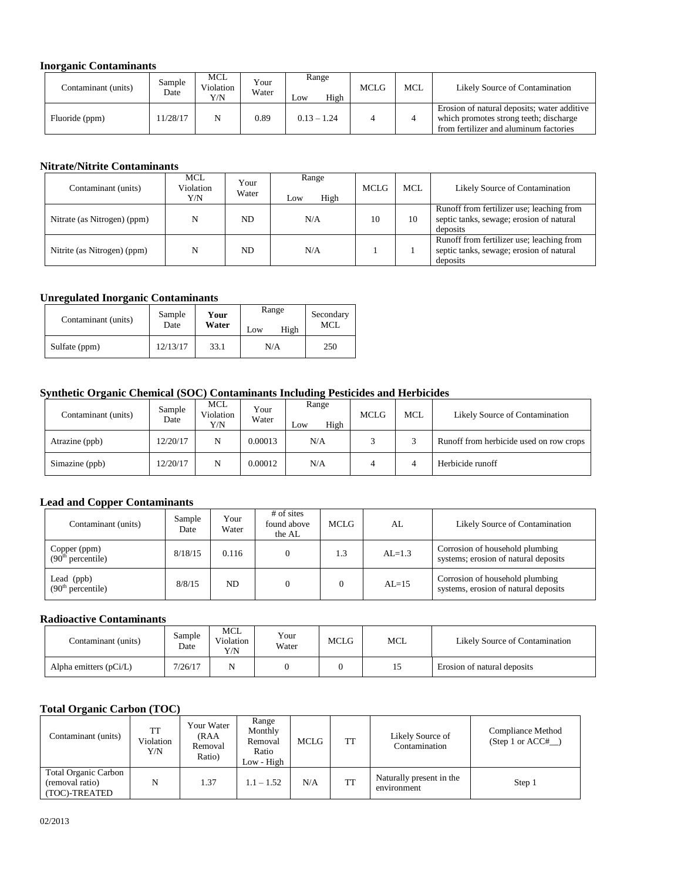#### **Inorganic Contaminants**

| Contaminant (units) | Sample<br>Date | MCL<br>Violation<br>Y/N | Your<br>Water | Range<br>High<br>Low | <b>MCLG</b> | <b>MCL</b> | Likely Source of Contamination                                                                                                  |
|---------------------|----------------|-------------------------|---------------|----------------------|-------------|------------|---------------------------------------------------------------------------------------------------------------------------------|
| Fluoride (ppm)      | 11/28/17       |                         | 0.89          | $0.13 - 1.24$        |             |            | Erosion of natural deposits; water additive<br>which promotes strong teeth; discharge<br>from fertilizer and aluminum factories |

### **Nitrate/Nitrite Contaminants**

| Contaminant (units)         | <b>MCL</b><br>Violation<br>Y/N | Your<br>Water | Range<br>High<br>Low | <b>MCLG</b> | MCL. | Likely Source of Contamination                                                                    |
|-----------------------------|--------------------------------|---------------|----------------------|-------------|------|---------------------------------------------------------------------------------------------------|
| Nitrate (as Nitrogen) (ppm) | N                              | ND.           | N/A                  | 10          | 10   | Runoff from fertilizer use; leaching from<br>septic tanks, sewage; erosion of natural<br>deposits |
| Nitrite (as Nitrogen) (ppm) | N                              | ND.           | N/A                  |             |      | Runoff from fertilizer use; leaching from<br>septic tanks, sewage; erosion of natural<br>deposits |

### **Unregulated Inorganic Contaminants**

| Contaminant (units) | Sample<br>Date | Your<br>Water | Range<br>High<br>Low | Secondary<br>MCL |
|---------------------|----------------|---------------|----------------------|------------------|
| Sulfate (ppm)       | 12/13/17       | 33.1          | N/A                  | 250              |

### **Synthetic Organic Chemical (SOC) Contaminants Including Pesticides and Herbicides**

| Contaminant (units) | Sample<br>Date | MCL<br>Violation<br>Y/N | Your<br>Water | Range<br>High<br>Low | <b>MCLG</b> | MCL | Likely Source of Contamination          |
|---------------------|----------------|-------------------------|---------------|----------------------|-------------|-----|-----------------------------------------|
| Atrazine (ppb)      | 12/20/17       | N                       | 0.00013       | N/A                  |             |     | Runoff from herbicide used on row crops |
| Simazine (ppb)      | 12/20/17       | N                       | 0.00012       | N/A                  |             | 4   | Herbicide runoff                        |

### **Lead and Copper Contaminants**

| Contaminant (units)                           | Sample<br>Date | Your<br>Water | $#$ of sites<br>found above<br>the AL | MCLG | AL         | Likely Source of Contamination                                          |
|-----------------------------------------------|----------------|---------------|---------------------------------------|------|------------|-------------------------------------------------------------------------|
| Copper (ppm)<br>(90 <sup>th</sup> percentile) | 8/18/15        | 0.116         |                                       | 1.3  | $AI = 1.3$ | Corrosion of household plumbing<br>systems; erosion of natural deposits |
| Lead (ppb)<br>$(90th percentile)$             | 8/8/15         | ND.           |                                       |      | $AL=15$    | Corrosion of household plumbing<br>systems, erosion of natural deposits |

#### **Radioactive Contaminants**

| Contaminant (units)      | Sample<br>Date | MCL<br>Violation<br>Y/N | Your<br>Water | <b>MCLG</b> | MCL | Likely Source of Contamination |
|--------------------------|----------------|-------------------------|---------------|-------------|-----|--------------------------------|
| Alpha emitters $(pCi/L)$ | 7/26/17        |                         |               |             |     | Erosion of natural deposits    |

### **Total Organic Carbon (TOC)**

| Contaminant (units)                                             | TT<br>Violation<br>Y/N | Your Water<br>(RAA<br>Removal<br>Ratio) | Range<br>Monthly<br>Removal<br>Ratio<br>Low - High | MCLG | TT | Likely Source of<br>Contamination       | Compliance Method<br>(Step 1 or $ACC#$ ) |
|-----------------------------------------------------------------|------------------------|-----------------------------------------|----------------------------------------------------|------|----|-----------------------------------------|------------------------------------------|
| <b>Total Organic Carbon</b><br>(removal ratio)<br>(TOC)-TREATED | N                      | 1.37                                    | $1.1 - 1.52$                                       | N/A  | TT | Naturally present in the<br>environment | Step 1                                   |